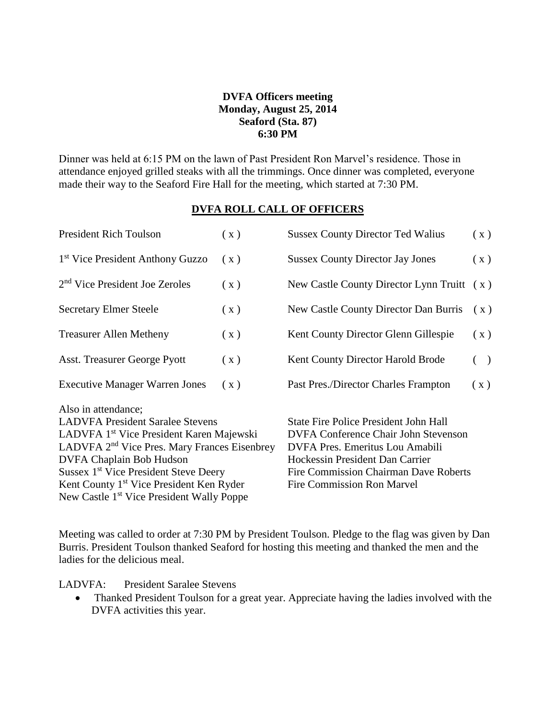## **DVFA Officers meeting Monday, August 25, 2014 Seaford (Sta. 87) 6:30 PM**

Dinner was held at 6:15 PM on the lawn of Past President Ron Marvel's residence. Those in attendance enjoyed grilled steaks with all the trimmings. Once dinner was completed, everyone made their way to the Seaford Fire Hall for the meeting, which started at 7:30 PM.

## **DVFA ROLL CALL OF OFFICERS**

| <b>President Rich Toulson</b>                                                                                                                                                                                                                                                                                                                                                        | (x) | <b>Sussex County Director Ted Walius</b>                                                                                                                                                                                                               | (x)            |
|--------------------------------------------------------------------------------------------------------------------------------------------------------------------------------------------------------------------------------------------------------------------------------------------------------------------------------------------------------------------------------------|-----|--------------------------------------------------------------------------------------------------------------------------------------------------------------------------------------------------------------------------------------------------------|----------------|
| 1 <sup>st</sup> Vice President Anthony Guzzo                                                                                                                                                                                                                                                                                                                                         | (x) | <b>Sussex County Director Jay Jones</b>                                                                                                                                                                                                                | (x)            |
| 2 <sup>nd</sup> Vice President Joe Zeroles                                                                                                                                                                                                                                                                                                                                           | (x) | New Castle County Director Lynn Truitt                                                                                                                                                                                                                 | (x)            |
| <b>Secretary Elmer Steele</b>                                                                                                                                                                                                                                                                                                                                                        | (x) | New Castle County Director Dan Burris                                                                                                                                                                                                                  | (x)            |
| <b>Treasurer Allen Metheny</b>                                                                                                                                                                                                                                                                                                                                                       | (x) | Kent County Director Glenn Gillespie                                                                                                                                                                                                                   | $(\mathbf{x})$ |
| Asst. Treasurer George Pyott                                                                                                                                                                                                                                                                                                                                                         | (x) | Kent County Director Harold Brode                                                                                                                                                                                                                      | $($ )          |
| <b>Executive Manager Warren Jones</b>                                                                                                                                                                                                                                                                                                                                                | (x) | Past Pres./Director Charles Frampton                                                                                                                                                                                                                   | (x)            |
| Also in attendance;<br><b>LADVFA President Saralee Stevens</b><br>LADVFA 1 <sup>st</sup> Vice President Karen Majewski<br>LADVFA 2 <sup>nd</sup> Vice Pres. Mary Frances Eisenbrey<br>DVFA Chaplain Bob Hudson<br>Sussex 1 <sup>st</sup> Vice President Steve Deery<br>Kent County 1 <sup>st</sup> Vice President Ken Ryder<br>New Castle 1 <sup>st</sup> Vice President Wally Poppe |     | <b>State Fire Police President John Hall</b><br><b>DVFA Conference Chair John Stevenson</b><br>DVFA Pres. Emeritus Lou Amabili<br>Hockessin President Dan Carrier<br><b>Fire Commission Chairman Dave Roberts</b><br><b>Fire Commission Ron Marvel</b> |                |

Meeting was called to order at 7:30 PM by President Toulson. Pledge to the flag was given by Dan Burris. President Toulson thanked Seaford for hosting this meeting and thanked the men and the ladies for the delicious meal.

LADVFA: President Saralee Stevens

• Thanked President Toulson for a great year. Appreciate having the ladies involved with the DVFA activities this year.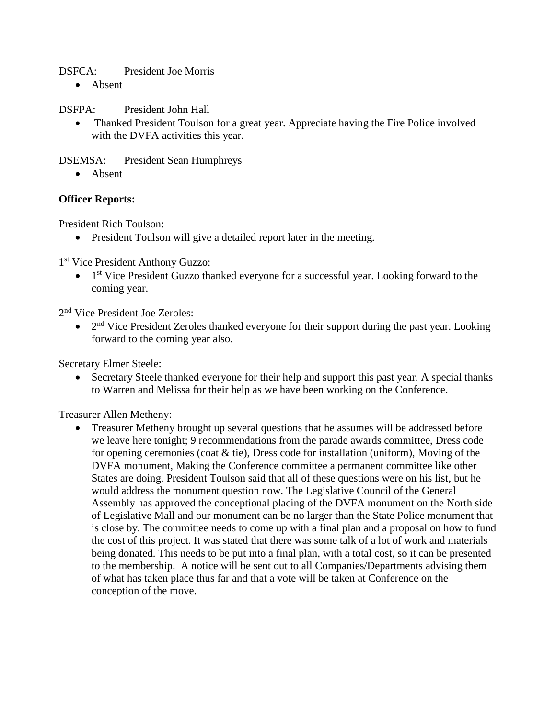DSFCA: President Joe Morris

• Absent

DSFPA: President John Hall

• Thanked President Toulson for a great year. Appreciate having the Fire Police involved with the DVFA activities this year.

DSEMSA: President Sean Humphreys

• Absent

## **Officer Reports:**

President Rich Toulson:

• President Toulson will give a detailed report later in the meeting.

1 st Vice President Anthony Guzzo:

• 1<sup>st</sup> Vice President Guzzo thanked everyone for a successful year. Looking forward to the coming year.

2<sup>nd</sup> Vice President Joe Zeroles:

 $\bullet$  2<sup>nd</sup> Vice President Zeroles thanked everyone for their support during the past year. Looking forward to the coming year also.

Secretary Elmer Steele:

 Secretary Steele thanked everyone for their help and support this past year. A special thanks to Warren and Melissa for their help as we have been working on the Conference.

Treasurer Allen Metheny:

• Treasurer Metheny brought up several questions that he assumes will be addressed before we leave here tonight; 9 recommendations from the parade awards committee, Dress code for opening ceremonies (coat & tie), Dress code for installation (uniform), Moving of the DVFA monument, Making the Conference committee a permanent committee like other States are doing. President Toulson said that all of these questions were on his list, but he would address the monument question now. The Legislative Council of the General Assembly has approved the conceptional placing of the DVFA monument on the North side of Legislative Mall and our monument can be no larger than the State Police monument that is close by. The committee needs to come up with a final plan and a proposal on how to fund the cost of this project. It was stated that there was some talk of a lot of work and materials being donated. This needs to be put into a final plan, with a total cost, so it can be presented to the membership. A notice will be sent out to all Companies/Departments advising them of what has taken place thus far and that a vote will be taken at Conference on the conception of the move.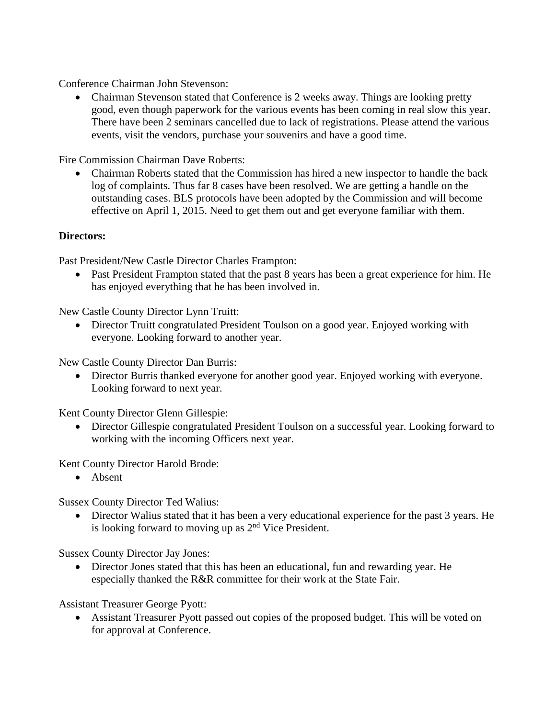Conference Chairman John Stevenson:

 Chairman Stevenson stated that Conference is 2 weeks away. Things are looking pretty good, even though paperwork for the various events has been coming in real slow this year. There have been 2 seminars cancelled due to lack of registrations. Please attend the various events, visit the vendors, purchase your souvenirs and have a good time.

Fire Commission Chairman Dave Roberts:

 Chairman Roberts stated that the Commission has hired a new inspector to handle the back log of complaints. Thus far 8 cases have been resolved. We are getting a handle on the outstanding cases. BLS protocols have been adopted by the Commission and will become effective on April 1, 2015. Need to get them out and get everyone familiar with them.

## **Directors:**

Past President/New Castle Director Charles Frampton:

• Past President Frampton stated that the past 8 years has been a great experience for him. He has enjoyed everything that he has been involved in.

New Castle County Director Lynn Truitt:

 Director Truitt congratulated President Toulson on a good year. Enjoyed working with everyone. Looking forward to another year.

New Castle County Director Dan Burris:

 Director Burris thanked everyone for another good year. Enjoyed working with everyone. Looking forward to next year.

Kent County Director Glenn Gillespie:

 Director Gillespie congratulated President Toulson on a successful year. Looking forward to working with the incoming Officers next year.

Kent County Director Harold Brode:

• Absent

Sussex County Director Ted Walius:

 Director Walius stated that it has been a very educational experience for the past 3 years. He is looking forward to moving up as  $2<sup>nd</sup>$  Vice President.

Sussex County Director Jay Jones:

 Director Jones stated that this has been an educational, fun and rewarding year. He especially thanked the R&R committee for their work at the State Fair.

Assistant Treasurer George Pyott:

 Assistant Treasurer Pyott passed out copies of the proposed budget. This will be voted on for approval at Conference.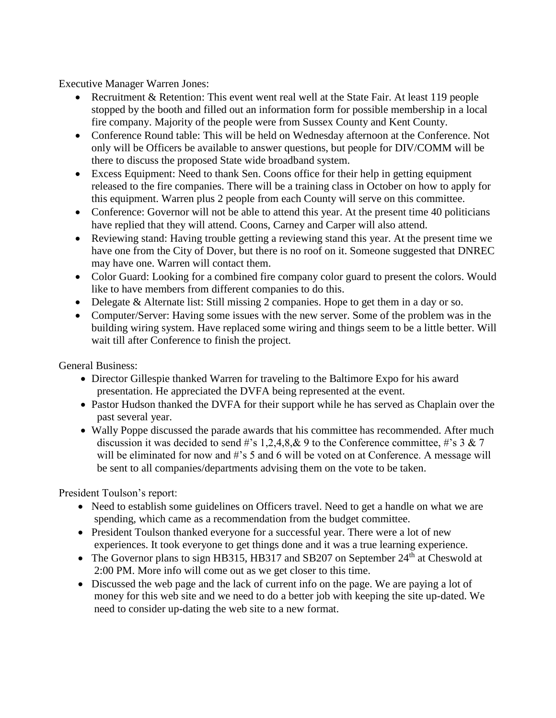Executive Manager Warren Jones:

- Recruitment & Retention: This event went real well at the State Fair. At least 119 people stopped by the booth and filled out an information form for possible membership in a local fire company. Majority of the people were from Sussex County and Kent County.
- Conference Round table: This will be held on Wednesday afternoon at the Conference. Not only will be Officers be available to answer questions, but people for DIV/COMM will be there to discuss the proposed State wide broadband system.
- Excess Equipment: Need to thank Sen. Coons office for their help in getting equipment released to the fire companies. There will be a training class in October on how to apply for this equipment. Warren plus 2 people from each County will serve on this committee.
- Conference: Governor will not be able to attend this year. At the present time 40 politicians have replied that they will attend. Coons, Carney and Carper will also attend.
- Reviewing stand: Having trouble getting a reviewing stand this year. At the present time we have one from the City of Dover, but there is no roof on it. Someone suggested that DNREC may have one. Warren will contact them.
- Color Guard: Looking for a combined fire company color guard to present the colors. Would like to have members from different companies to do this.
- Delegate & Alternate list: Still missing 2 companies. Hope to get them in a day or so.
- Computer/Server: Having some issues with the new server. Some of the problem was in the building wiring system. Have replaced some wiring and things seem to be a little better. Will wait till after Conference to finish the project.

General Business:

- Director Gillespie thanked Warren for traveling to the Baltimore Expo for his award presentation. He appreciated the DVFA being represented at the event.
- Pastor Hudson thanked the DVFA for their support while he has served as Chaplain over the past several year.
- Wally Poppe discussed the parade awards that his committee has recommended. After much discussion it was decided to send #'s 1,2,4,8,& 9 to the Conference committee, #'s 3 & 7 will be eliminated for now and #'s 5 and 6 will be voted on at Conference. A message will be sent to all companies/departments advising them on the vote to be taken.

President Toulson's report:

- Need to establish some guidelines on Officers travel. Need to get a handle on what we are spending, which came as a recommendation from the budget committee.
- President Toulson thanked everyone for a successful year. There were a lot of new experiences. It took everyone to get things done and it was a true learning experience.
- The Governor plans to sign HB315, HB317 and SB207 on September 24<sup>th</sup> at Cheswold at 2:00 PM. More info will come out as we get closer to this time.
- Discussed the web page and the lack of current info on the page. We are paying a lot of money for this web site and we need to do a better job with keeping the site up-dated. We need to consider up-dating the web site to a new format.